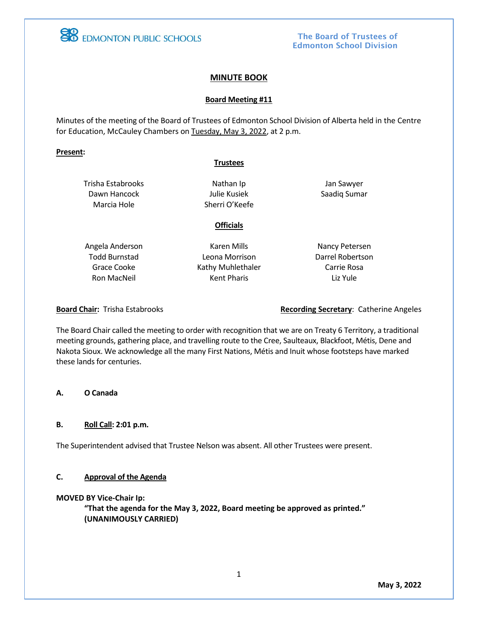

## The Board of Trustees of Edmonton School Division

## **MINUTE BOOK**

### **Board Meeting #11**

Minutes of the meeting of the Board of Trustees of Edmonton School Division of Alberta held in the Centre for Education, McCauley Chambers on Tuesday, May 3, 2022, at 2 p.m.

#### **Present:**

#### **Trustees**

Trisha Estabrooks Dawn Hancock Marcia Hole

Nathan Ip Julie Kusiek Sherri O'Keefe

Jan Sawyer Saadiq Sumar

**Officials**

Angela Anderson Todd Burnstad Grace Cooke Ron MacNeil

Karen Mills Leona Morrison Kathy Muhlethaler Kent Pharis

Nancy Petersen Darrel Robertson Carrie Rosa Liz Yule

**Board Chair:** Trisha Estabrooks **Recording Secretary**: Catherine Angeles

The Board Chair called the meeting to order with recognition that we are on Treaty 6 Territory, a traditional meeting grounds, gathering place, and travelling route to the Cree, Saulteaux, Blackfoot, Métis, Dene and Nakota Sioux. We acknowledge all the many First Nations, Métis and Inuit whose footsteps have marked these lands for centuries.

#### **A. O Canada**

### **B. Roll Call: 2:01 p.m.**

The Superintendent advised that Trustee Nelson was absent. All other Trustees were present.

## **C. Approval of the Agenda**

#### **MOVED BY Vice-Chair Ip:**

**"That the agenda for the May 3, 2022, Board meeting be approved as printed." (UNANIMOUSLY CARRIED)**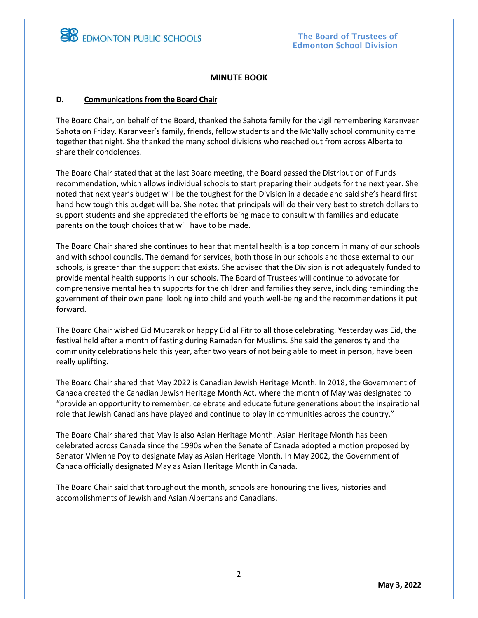

## **MINUTE BOOK**

### **D. Communications from the Board Chair**

The Board Chair, on behalf of the Board, thanked the Sahota family for the vigil remembering Karanveer Sahota on Friday. Karanveer's family, friends, fellow students and the McNally school community came together that night. She thanked the many school divisions who reached out from across Alberta to share their condolences.

The Board Chair stated that at the last Board meeting, the Board passed the Distribution of Funds recommendation, which allows individual schools to start preparing their budgets for the next year. She noted that next year's budget will be the toughest for the Division in a decade and said she's heard first hand how tough this budget will be. She noted that principals will do their very best to stretch dollars to support students and she appreciated the efforts being made to consult with families and educate parents on the tough choices that will have to be made.

The Board Chair shared she continues to hear that mental health is a top concern in many of our schools and with school councils. The demand for services, both those in our schools and those external to our schools, is greater than the support that exists. She advised that the Division is not adequately funded to provide mental health supports in our schools. The Board of Trustees will continue to advocate for comprehensive mental health supports for the children and families they serve, including reminding the government of their own panel looking into child and youth well-being and the recommendations it put forward.

The Board Chair wished Eid Mubarak or happy Eid al Fitr to all those celebrating. Yesterday was Eid, the festival held after a month of fasting during Ramadan for Muslims. She said the generosity and the community celebrations held this year, after two years of not being able to meet in person, have been really uplifting.

The Board Chair shared that May 2022 is Canadian Jewish Heritage Month. In 2018, the Government of Canada created the Canadian Jewish Heritage Month Act, where the month of May was designated to "provide an opportunity to remember, celebrate and educate future generations about the inspirational role that Jewish Canadians have played and continue to play in communities across the country."

The Board Chair shared that May is also Asian Heritage Month. Asian Heritage Month has been celebrated across Canada since the 1990s when the Senate of Canada adopted a motion proposed by Senator Vivienne Poy to designate May as Asian Heritage Month. In May 2002, the Government of Canada officially designated May as Asian Heritage Month in Canada.

The Board Chair said that throughout the month, schools are honouring the lives, histories and accomplishments of Jewish and Asian Albertans and Canadians.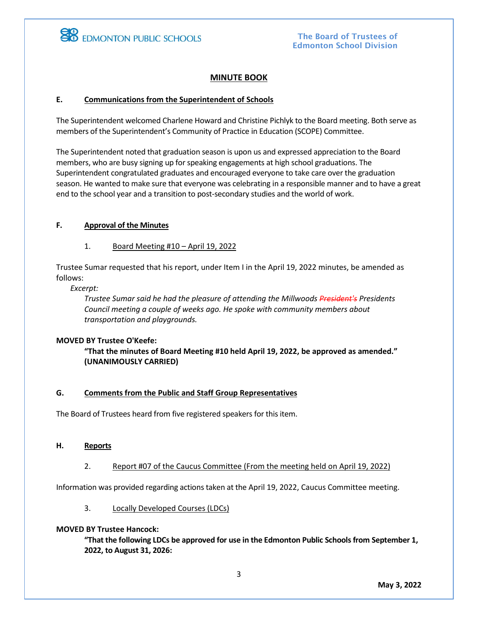# **MINUTE BOOK**

## **E. Communications from the Superintendent of Schools**

The Superintendent welcomed Charlene Howard and Christine Pichlyk to the Board meeting. Both serve as members of the Superintendent's Community of Practice in Education (SCOPE) Committee.

The Superintendent noted that graduation season is upon us and expressed appreciation to the Board members, who are busy signing up for speaking engagements at high school graduations. The Superintendent congratulated graduates and encouraged everyone to take care over the graduation season. He wanted to make sure that everyone was celebrating in a responsible manner and to have a great end to the school year and a transition to post-secondary studies and the world of work.

## **F. Approval of the Minutes**

## 1. Board Meeting #10 – April 19, 2022

Trustee Sumar requested that his report, under Item I in the April 19, 2022 minutes, be amended as follows:

*Excerpt:*

*Trustee Sumar said he had the pleasure of attending the Millwoods President's Presidents Council meeting a couple of weeks ago. He spoke with community members about transportation and playgrounds.*

#### **MOVED BY Trustee O'Keefe:**

**"That the minutes of Board Meeting #10 held April 19, 2022, be approved as amended." (UNANIMOUSLY CARRIED)**

## **G. Comments from the Public and Staff Group Representatives**

The Board of Trustees heard from five registered speakers for this item.

#### **H. Reports**

2. Report #07 of the Caucus Committee (From the meeting held on April 19, 2022)

Information was provided regarding actions taken at the April 19, 2022, Caucus Committee meeting.

3. Locally Developed Courses (LDCs)

#### **MOVED BY Trustee Hancock:**

**"That the following LDCs be approved for use in the Edmonton Public Schools from September 1, 2022, to August 31, 2026:**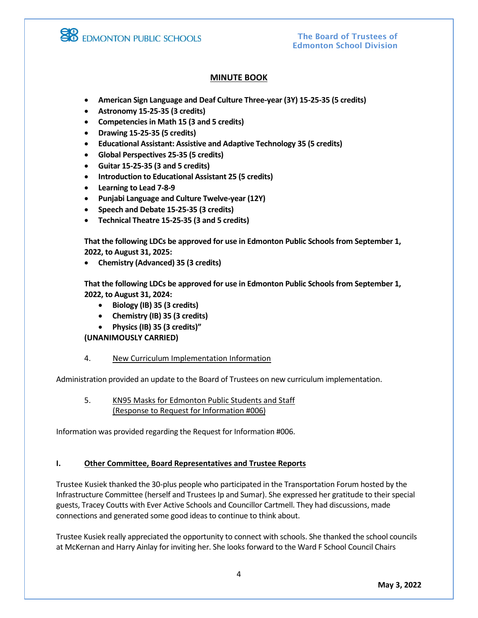

The Board of Trustees of Edmonton School Division

# **MINUTE BOOK**

- **American Sign Language and Deaf Culture Three-year (3Y) 15-25-35 (5 credits)**
- **Astronomy 15-25-35 (3 credits)**
- **Competencies in Math 15 (3 and 5 credits)**
- **Drawing 15-25-35 (5 credits)**
- **Educational Assistant: Assistive and Adaptive Technology 35 (5 credits)**
- **Global Perspectives 25-35 (5 credits)**
- **Guitar 15-25-35 (3 and 5 credits)**
- **Introduction to Educational Assistant 25 (5 credits)**
- **Learning to Lead 7-8-9**
- **Punjabi Language and Culture Twelve-year (12Y)**
- **Speech and Debate 15-25-35 (3 credits)**
- **Technical Theatre 15-25-35 (3 and 5 credits)**

**That the following LDCs be approved for use in Edmonton Public Schools from September 1, 2022, to August 31, 2025:**

• **Chemistry (Advanced) 35 (3 credits)**

**That the following LDCs be approved for use in Edmonton Public Schools from September 1, 2022, to August 31, 2024:**

- **Biology (IB) 35 (3 credits)**
- **Chemistry (IB) 35 (3 credits)**
- **Physics (IB) 35 (3 credits)"**

**(UNANIMOUSLY CARRIED)**

4. New Curriculum Implementation Information

Administration provided an update to the Board of Trustees on new curriculum implementation.

5. KN95 Masks for Edmonton Public Students and Staff (Response to Request for Information #006)

Information was provided regarding the Request for Information #006.

#### **I. Other Committee, Board Representatives and Trustee Reports**

Trustee Kusiek thanked the 30-plus people who participated in the Transportation Forum hosted by the Infrastructure Committee (herself and Trustees Ip and Sumar). She expressed her gratitude to their special guests, Tracey Coutts with Ever Active Schools and Councillor Cartmell. They had discussions, made connections and generated some good ideas to continue to think about.

Trustee Kusiek really appreciated the opportunity to connect with schools. She thanked the school councils at McKernan and Harry Ainlay for inviting her. She looks forward to the Ward F School Council Chairs